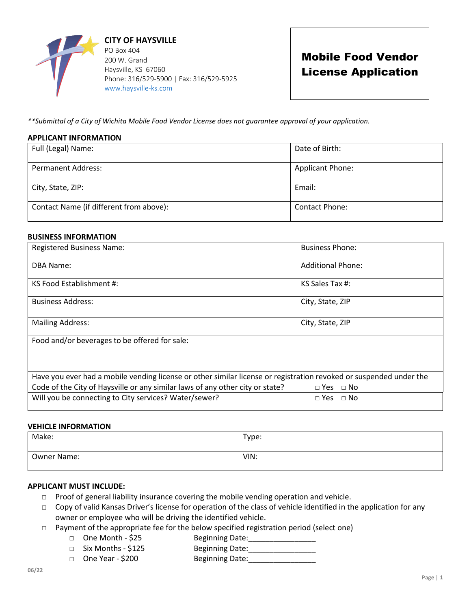

# Mobile Food Vendor License Application

*\*\*Submittal of a City of Wichita Mobile Food Vendor License does not guarantee approval of your application.* 

### **APPLICANT INFORMATION**

| Full (Legal) Name:                      | Date of Birth:          |
|-----------------------------------------|-------------------------|
| <b>Permanent Address:</b>               | <b>Applicant Phone:</b> |
| City, State, ZIP:                       | Email:                  |
| Contact Name (if different from above): | <b>Contact Phone:</b>   |

### **BUSINESS INFORMATION**

| <b>Registered Business Name:</b>                                                                                   | <b>Business Phone:</b>   |  |  |  |
|--------------------------------------------------------------------------------------------------------------------|--------------------------|--|--|--|
| <b>DBA Name:</b>                                                                                                   | <b>Additional Phone:</b> |  |  |  |
| KS Food Establishment #:                                                                                           | KS Sales Tax #:          |  |  |  |
| <b>Business Address:</b>                                                                                           | City, State, ZIP         |  |  |  |
| <b>Mailing Address:</b>                                                                                            | City, State, ZIP         |  |  |  |
| Food and/or beverages to be offered for sale:                                                                      |                          |  |  |  |
| Have you ever had a mobile vending license or other similar license or registration revoked or suspended under the |                          |  |  |  |
| Code of the City of Haysville or any similar laws of any other city or state?                                      | $\Box$ Yes $\Box$ No     |  |  |  |
| Will you be connecting to City services? Water/sewer?                                                              | $\Box$ Yes $\Box$ No     |  |  |  |

### **VEHICLE INFORMATION**

| Make:       | Type: |
|-------------|-------|
| Owner Name: | VIN:  |

## **APPLICANT MUST INCLUDE:**

- □ Proof of general liability insurance covering the mobile vending operation and vehicle.
- □ Copy of valid Kansas Driver's license for operation of the class of vehicle identified in the application for any owner or employee who will be driving the identified vehicle.
- □ Payment of the appropriate fee for the below specified registration period (select one)
	- □ One Month \$25 Beginning Date:
		-
	- □ Six Months \$125 Beginning Date: □ One Year - \$200 Beginning Date: